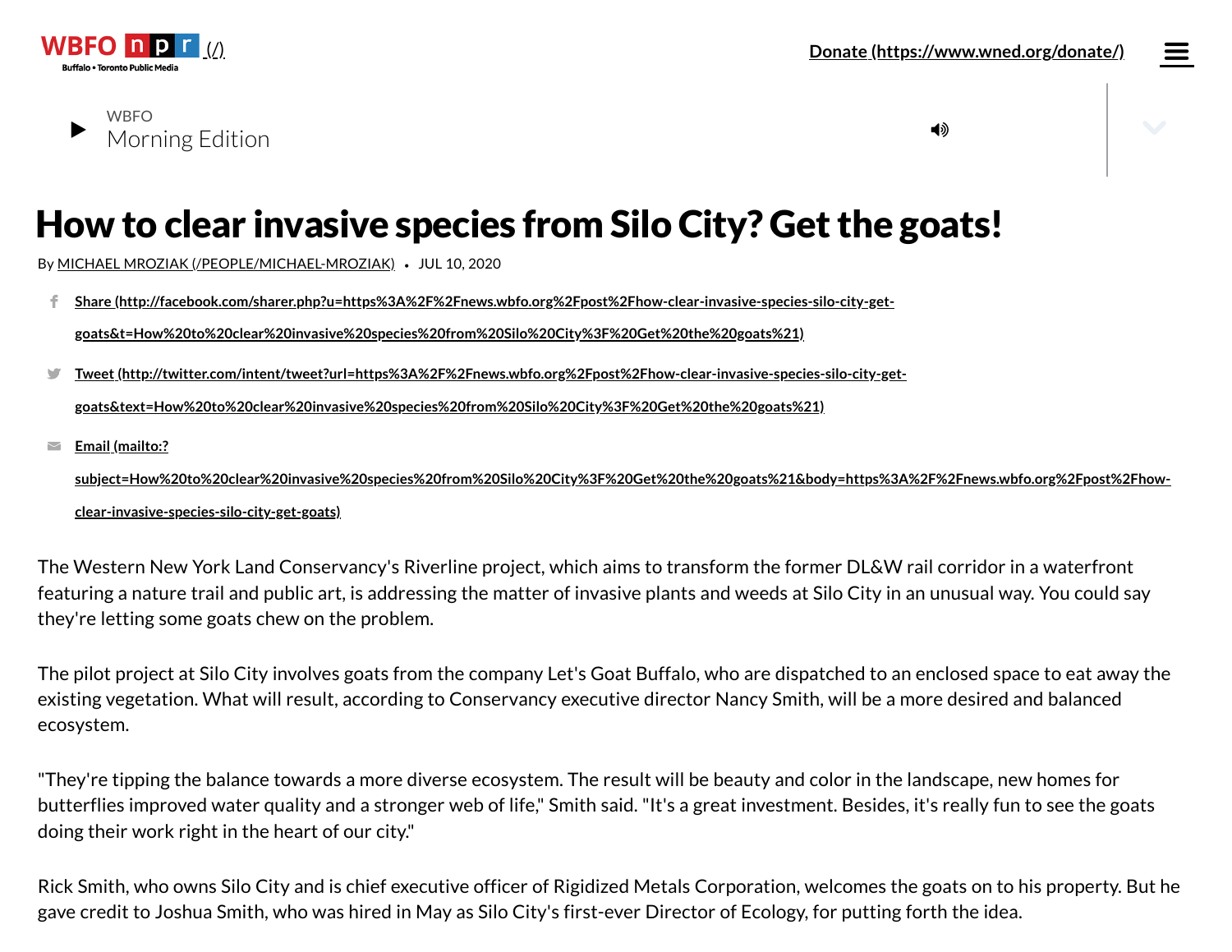

**WBFO** 

# How to clear invasive species from Silo City? Get the goats!

By MICHAEL MROZIAK [\(/PEOPLE/MICHAEL-MROZIAK\)](https://news.wbfo.org/people/michael-mroziak) *•* JUL 10, 2020

**Share [\(http://facebook.com/sharer.php?u=https%3A%2F%2Fnews.wbfo.org%2Fpost%2Fhow-clear-invasive-species-silo-city-get](http://facebook.com/sharer.php?u=https%3A%2F%2Fnews.wbfo.org%2Fpost%2Fhow-clear-invasive-species-silo-city-get-goats&t=How%20to%20clear%20invasive%20species%20from%20Silo%20City%3F%20Get%20the%20goats%21)goats&t=How%20to%20clear%20invasive%20species%20from%20Silo%20City%3F%20Get%20the%20goats%21)** f.,

**Tweet [\(http://twitter.com/intent/tweet?url=https%3A%2F%2Fnews.wbfo.org%2Fpost%2Fhow-clear-invasive-species-silo-city-get](http://twitter.com/intent/tweet?url=https%3A%2F%2Fnews.wbfo.org%2Fpost%2Fhow-clear-invasive-species-silo-city-get-goats&text=How%20to%20clear%20invasive%20species%20from%20Silo%20City%3F%20Get%20the%20goats%21)goats&text=How%20to%20clear%20invasive%20species%20from%20Silo%20City%3F%20Get%20the%20goats%21)** y.

**Email (mailto:?**  $\overline{\smile}$ 

> **[subject=How%20to%20clear%20invasive%20species%20from%20Silo%20City%3F%20Get%20the%20goats%21&body=https%3A%2F%2Fnews.wbfo.org%2Fpost%2Fhow](mailto:?subject=How%20to%20clear%20invasive%20species%20from%20Silo%20City%3F%20Get%20the%20goats%21&body=https%3A%2F%2Fnews.wbfo.org%2Fpost%2Fhow-clear-invasive-species-silo-city-get-goats)clear-invasive-species-silo-city-get-goats)**

The Western New York Land Conservancy's Riverline project, which aims to transform the former DL&W rail corridor in a waterfront featuring a nature trail and public art, is addressing the matter of invasive plants and weeds at Silo City in an unusual way. You could say they're letting some goats chew on the problem.

The pilot project at Silo City involves goats from the company Let's Goat Buffalo, who are dispatched to an enclosed space to eat away the existing vegetation. What will result, according to Conservancy executive director Nancy Smith, will be a more desired and balanced ecosystem.

"They're tipping the balance towards a more diverse ecosystem. The result will be beauty and color in the landscape, new homes for butterflies improved water quality and a stronger web of life," Smith said. "It's a great investment. Besides, it's really fun to see the goats doing their work right in the heart of our city."

Rick Smith, who owns Silo City and is chief executive officer of Rigidized Metals Corporation, welcomes the goats on to his property. But he gave credit to Joshua Smith, who was hired in May as Silo City's first-ever Director of Ecology, for putting forth the idea.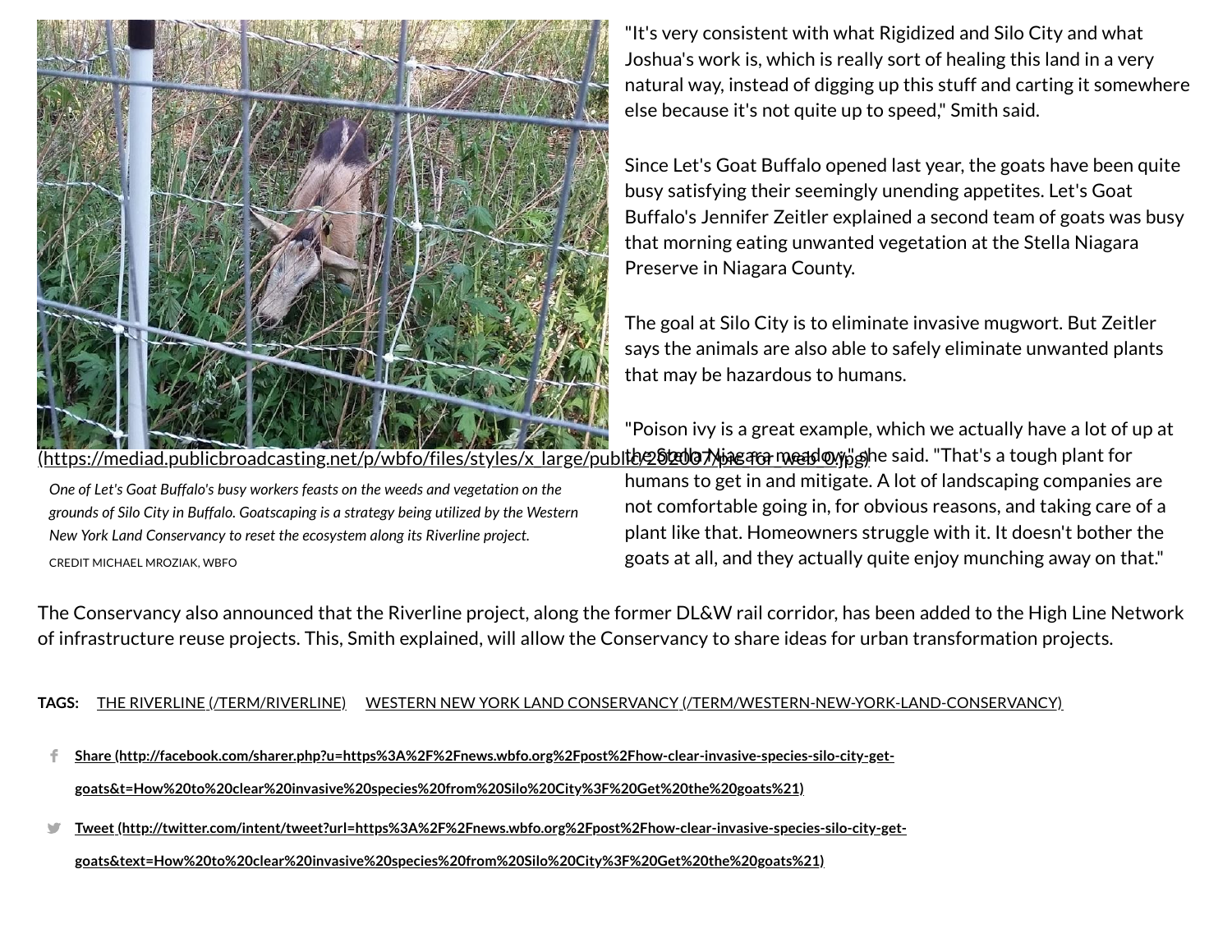

*One of Let's Goat Buffalo's busy workers feasts on the weeds and vegetation on the grounds of Silo City in Buffalo. Goatscaping is a strategy being utilized by the Western*

*New York Land Conservancy to reset the ecosystem along its Riverline project.*

CREDIT MICHAEL MROZIAK, WBFO

"It's very consistent with what Rigidized and Silo City and what Joshua's work is, which is really sort of healing this land in a very natural way, instead of digging up this stuff and carting it somewhere else because it's not quite up to speed," Smith said.

Since Let's Goat Buffalo opened last year, the goats have been quite busy satisfying their seemingly unending appetites. Let's Goat Buffalo's Jennifer Zeitler explained a second team of goats was busy that morning eating unwanted vegetation at the Stella Niagara Preserve in Niagara County.

The goal at Silo City is to eliminate invasive mugwort. But Zeitler says the animals are also able to safely eliminate unwanted plants that may be hazardous to humans.

"Poison ivy is a great example, which we actually have a lot of up at <u>(https://mediad.publicbroadcasting.net/p/wbfo/files/styles/x\_large/publ**ib/262007/peace-mead@yy**pghe said. "That's a tough plant for</u> humans to get in and mitigate. A lot of landscaping companies are not comfortable going in, for obvious reasons, and taking care of a plant like that. Homeowners struggle with it. It doesn't bother the goats at all, and they actually quite enjoy munching away on that."

The Conservancy also announced that the Riverline project, along the former DL&W rail corridor, has been added to the High Line Network of infrastructure reuse projects. This, Smith explained, will allow the Conservancy to share ideas for urban transformation projects.

**TAGS:** THE RIVERLINE [\(/TERM/RIVERLINE\)](https://news.wbfo.org/term/riverline) WESTERN NEW YORK LAND CONSERVANCY [\(/TERM/WESTERN-NEW-YORK-LAND-CONSERVANCY\)](https://news.wbfo.org/term/western-new-york-land-conservancy)

- **Share [\(http://facebook.com/sharer.php?u=https%3A%2F%2Fnews.wbfo.org%2Fpost%2Fhow-clear-invasive-species-silo-city-get](http://facebook.com/sharer.php?u=https%3A%2F%2Fnews.wbfo.org%2Fpost%2Fhow-clear-invasive-species-silo-city-get-goats&t=How%20to%20clear%20invasive%20species%20from%20Silo%20City%3F%20Get%20the%20goats%21)goats&t=How%20to%20clear%20invasive%20species%20from%20Silo%20City%3F%20Get%20the%20goats%21)** f.,
- **Tweet [\(http://twitter.com/intent/tweet?url=https%3A%2F%2Fnews.wbfo.org%2Fpost%2Fhow-clear-invasive-species-silo-city-get](http://twitter.com/intent/tweet?url=https%3A%2F%2Fnews.wbfo.org%2Fpost%2Fhow-clear-invasive-species-silo-city-get-goats&text=How%20to%20clear%20invasive%20species%20from%20Silo%20City%3F%20Get%20the%20goats%21)goats&text=How%20to%20clear%20invasive%20species%20from%20Silo%20City%3F%20Get%20the%20goats%21)** y.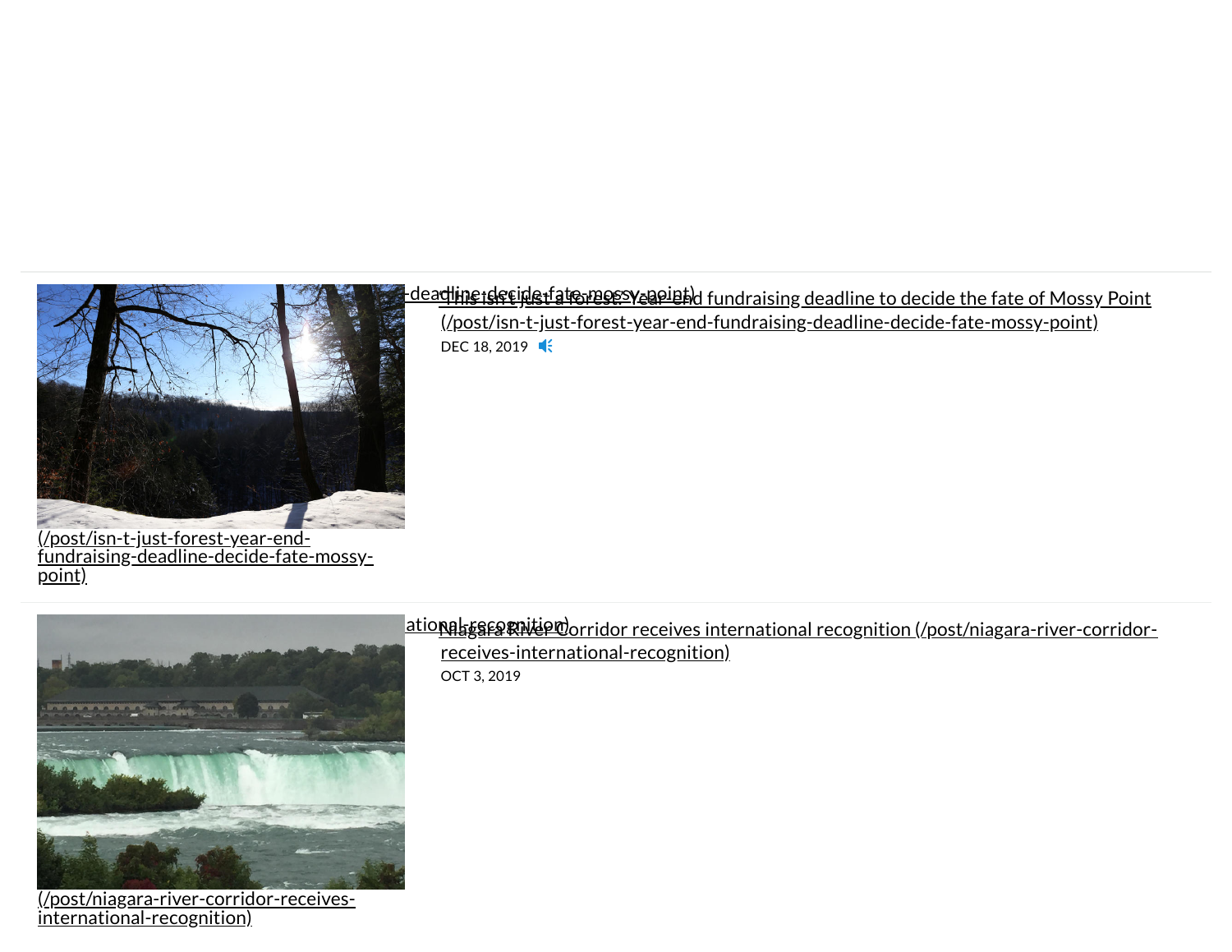

(/post/isn-t-just-forest-year-endfundraising-deadline-decide-fate-mossypoint)



(/post/niagara-river-corridor-receivesinternational-recognition)

## This is the fate-of-contract of Mossy Point and This is deadline to decide the fate of Mossy Point

[\(/post/isn-t-just-forest-year-end-fundraising-deadline-decide-fate-mossy-point\)](https://news.wbfo.org/post/isn-t-just-forest-year-end-fundraising-deadline-decide-fate-mossy-point) DEC 18, 2019 **K** 

<u>atio**nal ge corridor corridor receives** international recognition (/post/niagara-river-corridor-</u> [receives-international-recognition\)](https://news.wbfo.org/post/niagara-river-corridor-receives-international-recognition)

OCT 3, 2019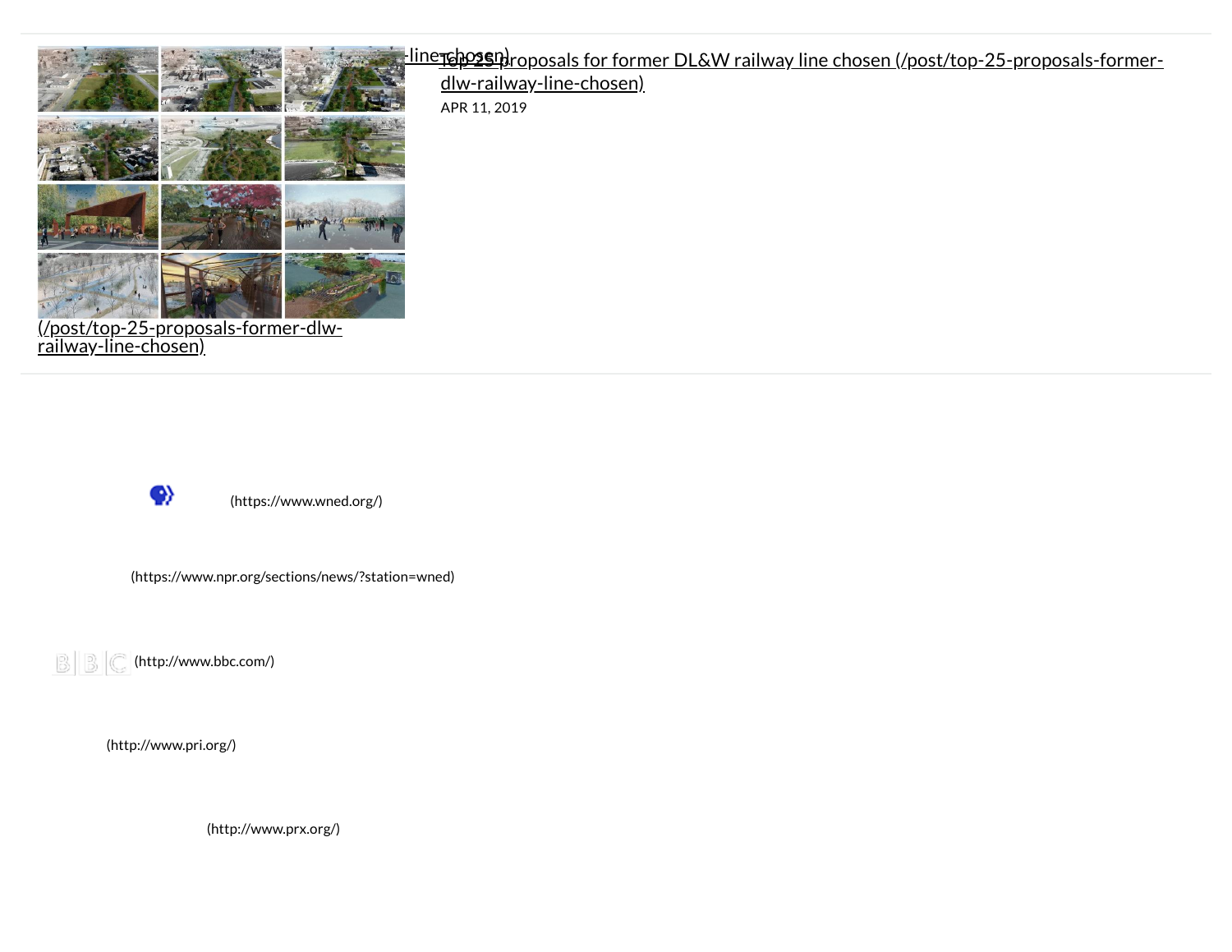

### $\kappa$  and  $\kappa$  and  $\kappa$  is a state  $\kappa$  -line  $\kappa$  -line  $\kappa$  proposals for former DL&W railway-line-chosen [\(/post/top-25-proposals-former-](https://news.wbfo.org/post/top-25-proposals-former-dlw-railway-line-chosen)

dlw-railway-line-chosen)

APR 11, 2019



<u>railway-line-chosen)</u>

[\(https://www.wned.org/\)](https://www.wned.org/)

[\(https://www.npr.org/sections/news/?station=wned\)](https://www.npr.org/sections/news/?station=wned)

 $\left|\left|\mathbb{B}\right|\right|\left|\mathbb{C}\right|$  [\(http://www.bbc.com/\)](http://www.bbc.com/)

[\(http://www.pri.org/\)](http://www.pri.org/)

[\(http://www.prx.org/\)](http://www.prx.org/)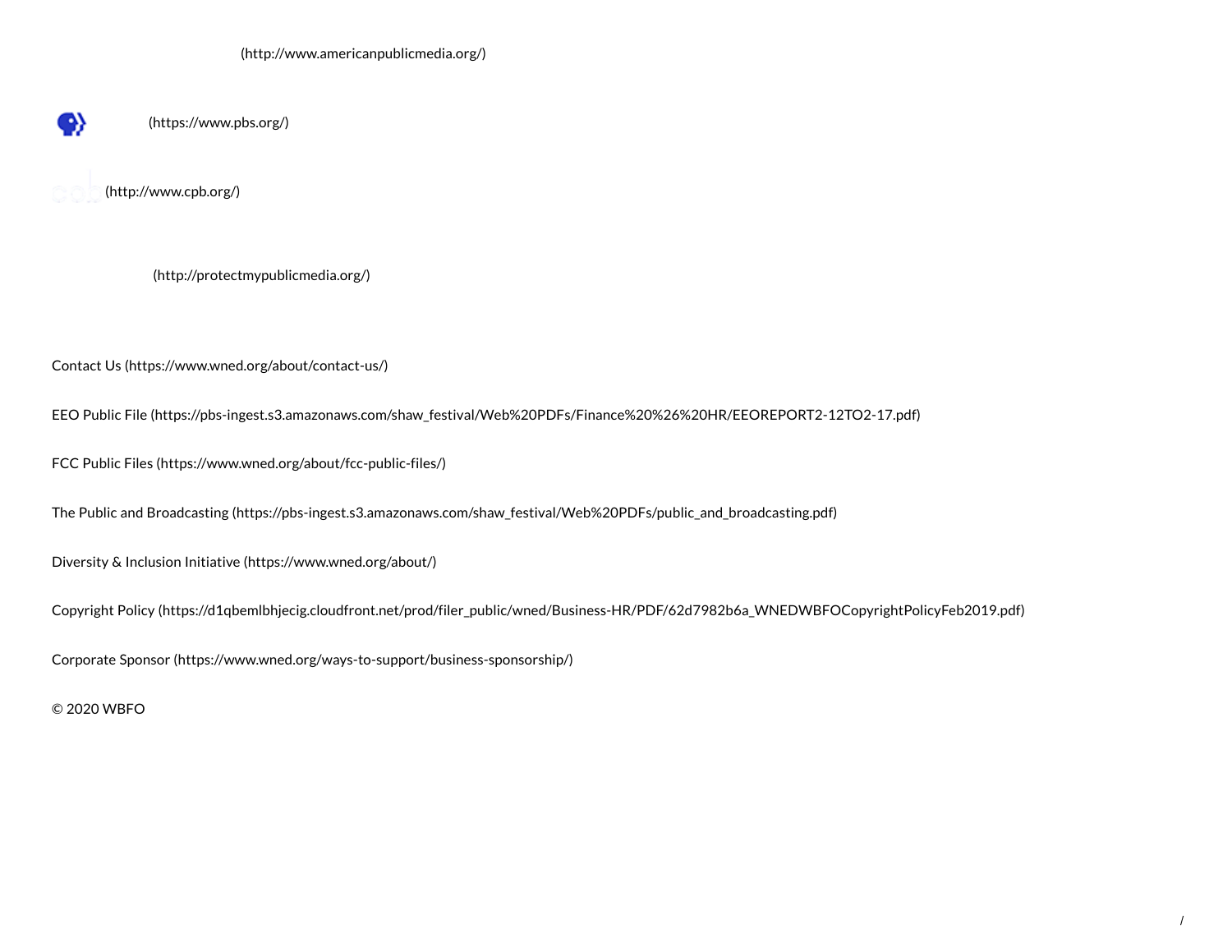[\(https://www.pbs.org/\)](https://www.pbs.org/)

[\(http://www.cpb.org/\)](http://www.cpb.org/)

◈

[\(http://protectmypublicmedia.org/\)](http://protectmypublicmedia.org/)

Contact Us [\(https://www.wned.org/about/contact-us/\)](https://www.wned.org/about/contact-us/)

EEO Public File [\(https://pbs-ingest.s3.amazonaws.com/shaw\\_festival/Web%20PDFs/Finance%20%26%20HR/EEOREPORT2-12TO2-17.pdf\)](https://pbs-ingest.s3.amazonaws.com/shaw_festival/Web%20PDFs/Finance%20%26%20HR/EEOREPORT2-12TO2-17.pdf)

FCC Public Files [\(https://www.wned.org/about/fcc-public-files/\)](https://www.wned.org/about/fcc-public-files/)

The Public and Broadcasting [\(https://pbs-ingest.s3.amazonaws.com/shaw\\_festival/Web%20PDFs/public\\_and\\_broadcasting.pdf\)](https://pbs-ingest.s3.amazonaws.com/shaw_festival/Web%20PDFs/public_and_broadcasting.pdf)

Diversity & Inclusion Initiative [\(https://www.wned.org/about/\)](https://www.wned.org/about/)

Copyright Policy [\(https://d1qbemlbhjecig.cloudfront.net/prod/filer\\_public/wned/Business-HR/PDF/62d7982b6a\\_WNEDWBFOCopyrightPolicyFeb2019.pdf\)](https://d1qbemlbhjecig.cloudfront.net/prod/filer_public/wned/Business-HR/PDF/62d7982b6a_WNEDWBFOCopyrightPolicyFeb2019.pdf)

Corporate Sponsor [\(https://www.wned.org/ways-to-support/business-sponsorship/\)](https://www.wned.org/ways-to-support/business-sponsorship/)

© 2020 WBFO